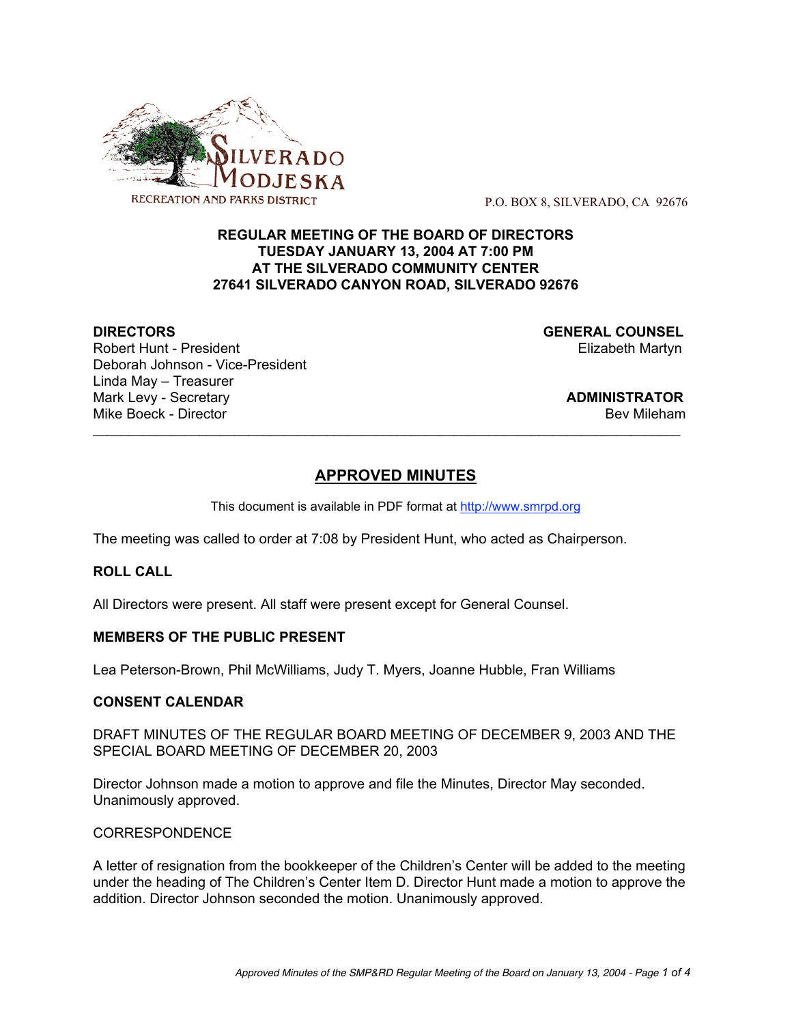

P.O. BOX 8, SILVERADO, CA 92676

## **REGULAR MEETING OF THE BOARD OF DIRECTORS TUESDAY JANUARY 13, 2004 AT 7:00 PM AT THE SILVERADO COMMUNITY CENTER 27641 SILVERADO CANYON ROAD, SILVERADO 92676**

Robert Hunt - President Elizabeth Martyn Deborah Johnson - Vice-President Linda May – Treasurer Mark Levy - Secretary **ADMINISTRATOR** Mike Boeck - Director **Bev Mileham Mike Boeck - Director** Bev Mileham **Bev Mileham** 

**DIRECTORS GENERAL COUNSEL**

# **APPROVED MINUTES**

 $\mathcal{L}_\text{max}$  , and the set of the set of the set of the set of the set of the set of the set of the set of the set of the set of the set of the set of the set of the set of the set of the set of the set of the set of the

This document is available in PDF format at http://www.smrpd.org

The meeting was called to order at 7:08 by President Hunt, who acted as Chairperson.

## **ROLL CALL**

All Directors were present. All staff were present except for General Counsel.

## **MEMBERS OF THE PUBLIC PRESENT**

Lea Peterson-Brown, Phil McWilliams, Judy T. Myers, Joanne Hubble, Fran Williams

#### **CONSENT CALENDAR**

DRAFT MINUTES OF THE REGULAR BOARD MEETING OF DECEMBER 9, 2003 AND THE SPECIAL BOARD MEETING OF DECEMBER 20, 2003

Director Johnson made a motion to approve and file the Minutes, Director May seconded. Unanimously approved.

#### CORRESPONDENCE

A letter of resignation from the bookkeeper of the Children's Center will be added to the meeting under the heading of The Children's Center Item D. Director Hunt made a motion to approve the addition. Director Johnson seconded the motion. Unanimously approved.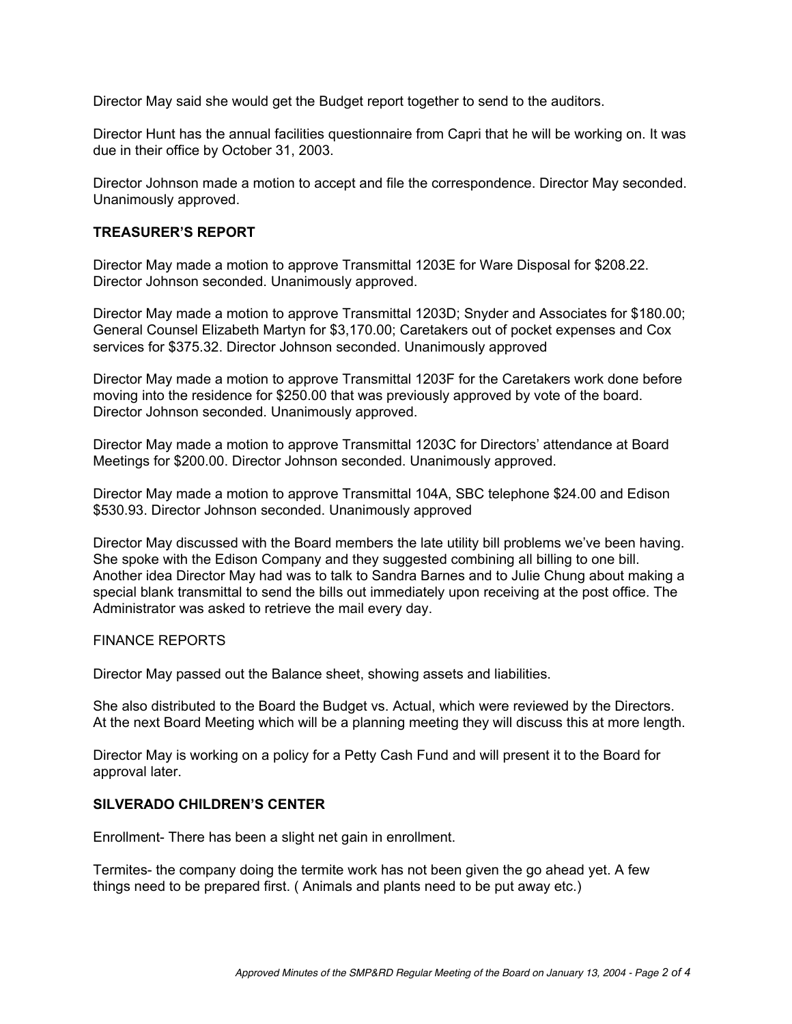Director May said she would get the Budget report together to send to the auditors.

Director Hunt has the annual facilities questionnaire from Capri that he will be working on. It was due in their office by October 31, 2003.

Director Johnson made a motion to accept and file the correspondence. Director May seconded. Unanimously approved.

## **TREASURER'S REPORT**

Director May made a motion to approve Transmittal 1203E for Ware Disposal for \$208.22. Director Johnson seconded. Unanimously approved.

Director May made a motion to approve Transmittal 1203D; Snyder and Associates for \$180.00; General Counsel Elizabeth Martyn for \$3,170.00; Caretakers out of pocket expenses and Cox services for \$375.32. Director Johnson seconded. Unanimously approved

Director May made a motion to approve Transmittal 1203F for the Caretakers work done before moving into the residence for \$250.00 that was previously approved by vote of the board. Director Johnson seconded. Unanimously approved.

Director May made a motion to approve Transmittal 1203C for Directors' attendance at Board Meetings for \$200.00. Director Johnson seconded. Unanimously approved.

Director May made a motion to approve Transmittal 104A, SBC telephone \$24.00 and Edison \$530.93. Director Johnson seconded. Unanimously approved

Director May discussed with the Board members the late utility bill problems we've been having. She spoke with the Edison Company and they suggested combining all billing to one bill. Another idea Director May had was to talk to Sandra Barnes and to Julie Chung about making a special blank transmittal to send the bills out immediately upon receiving at the post office. The Administrator was asked to retrieve the mail every day.

#### FINANCE REPORTS

Director May passed out the Balance sheet, showing assets and liabilities.

She also distributed to the Board the Budget vs. Actual, which were reviewed by the Directors. At the next Board Meeting which will be a planning meeting they will discuss this at more length.

Director May is working on a policy for a Petty Cash Fund and will present it to the Board for approval later.

## **SILVERADO CHILDREN'S CENTER**

Enrollment- There has been a slight net gain in enrollment.

Termites- the company doing the termite work has not been given the go ahead yet. A few things need to be prepared first. ( Animals and plants need to be put away etc.)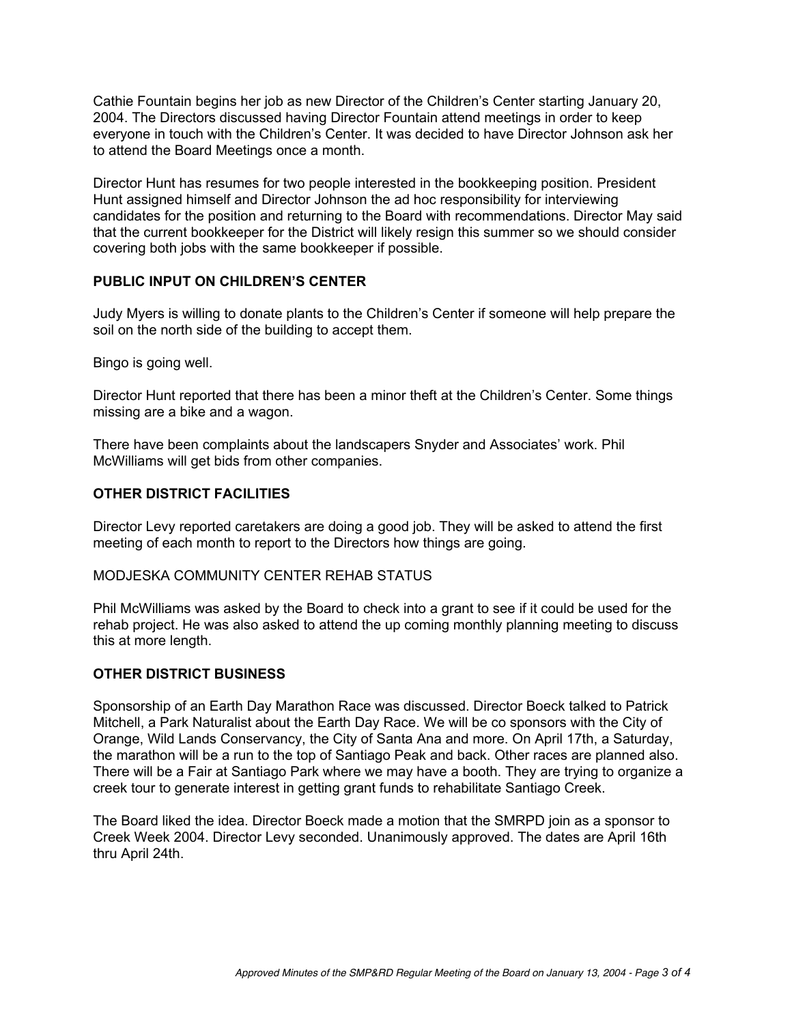Cathie Fountain begins her job as new Director of the Children's Center starting January 20, 2004. The Directors discussed having Director Fountain attend meetings in order to keep everyone in touch with the Children's Center. It was decided to have Director Johnson ask her to attend the Board Meetings once a month.

Director Hunt has resumes for two people interested in the bookkeeping position. President Hunt assigned himself and Director Johnson the ad hoc responsibility for interviewing candidates for the position and returning to the Board with recommendations. Director May said that the current bookkeeper for the District will likely resign this summer so we should consider covering both jobs with the same bookkeeper if possible.

## **PUBLIC INPUT ON CHILDREN'S CENTER**

Judy Myers is willing to donate plants to the Children's Center if someone will help prepare the soil on the north side of the building to accept them.

Bingo is going well.

Director Hunt reported that there has been a minor theft at the Children's Center. Some things missing are a bike and a wagon.

There have been complaints about the landscapers Snyder and Associates' work. Phil McWilliams will get bids from other companies.

## **OTHER DISTRICT FACILITIES**

Director Levy reported caretakers are doing a good job. They will be asked to attend the first meeting of each month to report to the Directors how things are going.

## MODJESKA COMMUNITY CENTER REHAB STATUS

Phil McWilliams was asked by the Board to check into a grant to see if it could be used for the rehab project. He was also asked to attend the up coming monthly planning meeting to discuss this at more length.

## **OTHER DISTRICT BUSINESS**

Sponsorship of an Earth Day Marathon Race was discussed. Director Boeck talked to Patrick Mitchell, a Park Naturalist about the Earth Day Race. We will be co sponsors with the City of Orange, Wild Lands Conservancy, the City of Santa Ana and more. On April 17th, a Saturday, the marathon will be a run to the top of Santiago Peak and back. Other races are planned also. There will be a Fair at Santiago Park where we may have a booth. They are trying to organize a creek tour to generate interest in getting grant funds to rehabilitate Santiago Creek.

The Board liked the idea. Director Boeck made a motion that the SMRPD join as a sponsor to Creek Week 2004. Director Levy seconded. Unanimously approved. The dates are April 16th thru April 24th.